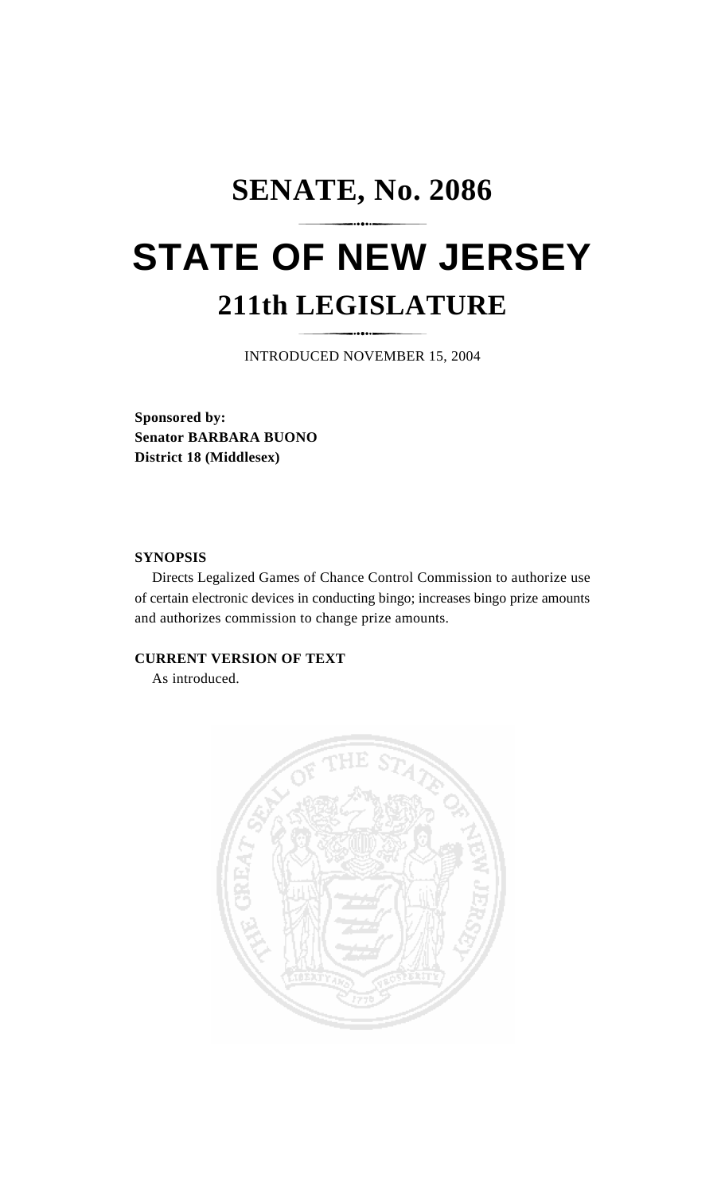## **SENATE, No. 2086 STATE OF NEW JERSEY 211th LEGISLATURE**

INTRODUCED NOVEMBER 15, 2004

**Sponsored by: Senator BARBARA BUONO District 18 (Middlesex)**

## **SYNOPSIS**

Directs Legalized Games of Chance Control Commission to authorize use of certain electronic devices in conducting bingo; increases bingo prize amounts and authorizes commission to change prize amounts.

## **CURRENT VERSION OF TEXT**

As introduced.

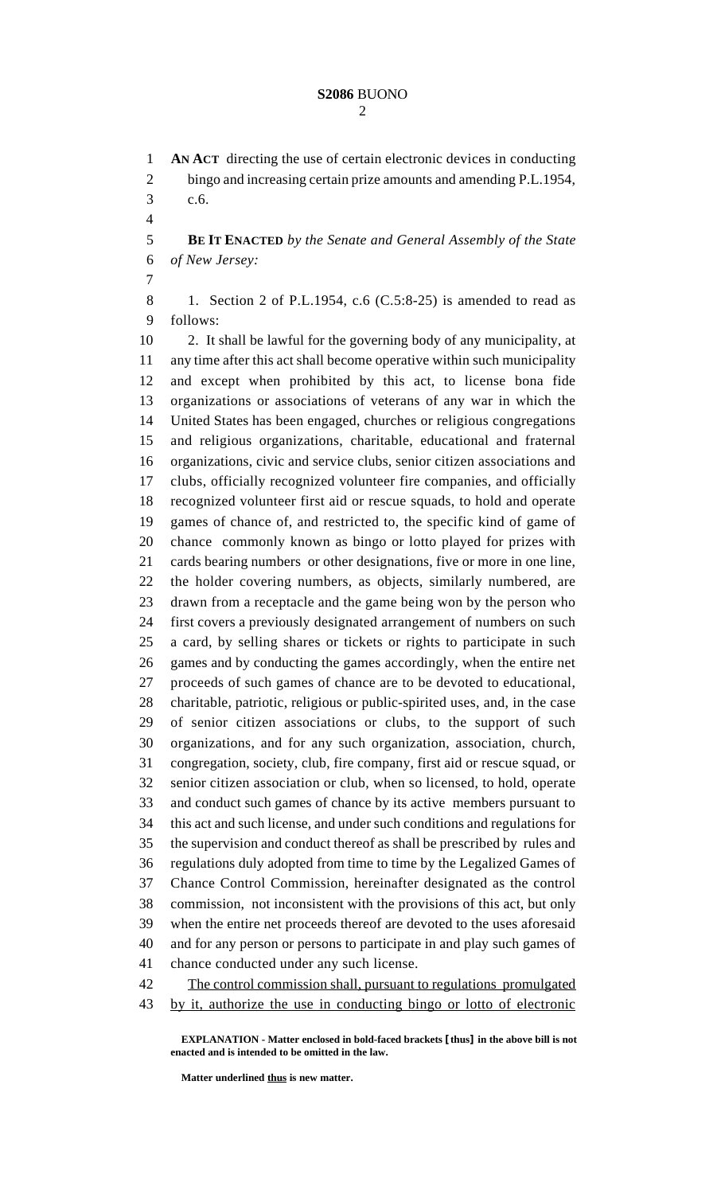**AN ACT** directing the use of certain electronic devices in conducting bingo and increasing certain prize amounts and amending P.L.1954, c.6. **BE IT ENACTED** *by the Senate and General Assembly of the State of New Jersey:* 1. Section 2 of P.L.1954, c.6 (C.5:8-25) is amended to read as follows: 2. It shall be lawful for the governing body of any municipality, at any time after this act shall become operative within such municipality and except when prohibited by this act, to license bona fide organizations or associations of veterans of any war in which the United States has been engaged, churches or religious congregations and religious organizations, charitable, educational and fraternal organizations, civic and service clubs, senior citizen associations and clubs, officially recognized volunteer fire companies, and officially recognized volunteer first aid or rescue squads, to hold and operate games of chance of, and restricted to, the specific kind of game of chance commonly known as bingo or lotto played for prizes with cards bearing numbers or other designations, five or more in one line, the holder covering numbers, as objects, similarly numbered, are drawn from a receptacle and the game being won by the person who first covers a previously designated arrangement of numbers on such a card, by selling shares or tickets or rights to participate in such games and by conducting the games accordingly, when the entire net proceeds of such games of chance are to be devoted to educational, charitable, patriotic, religious or public-spirited uses, and, in the case of senior citizen associations or clubs, to the support of such organizations, and for any such organization, association, church, congregation, society, club, fire company, first aid or rescue squad, or senior citizen association or club, when so licensed, to hold, operate and conduct such games of chance by its active members pursuant to this act and such license, and under such conditions and regulations for the supervision and conduct thereof as shall be prescribed by rules and regulations duly adopted from time to time by the Legalized Games of Chance Control Commission, hereinafter designated as the control commission, not inconsistent with the provisions of this act, but only when the entire net proceeds thereof are devoted to the uses aforesaid and for any person or persons to participate in and play such games of chance conducted under any such license. 42 The control commission shall, pursuant to regulations promulgated by it, authorize the use in conducting bingo or lotto of electronic

**EXPLANATION - Matter enclosed in bold-faced brackets [thus] in the above bill is not enacted and is intended to be omitted in the law.**

**Matter underlined thus is new matter.**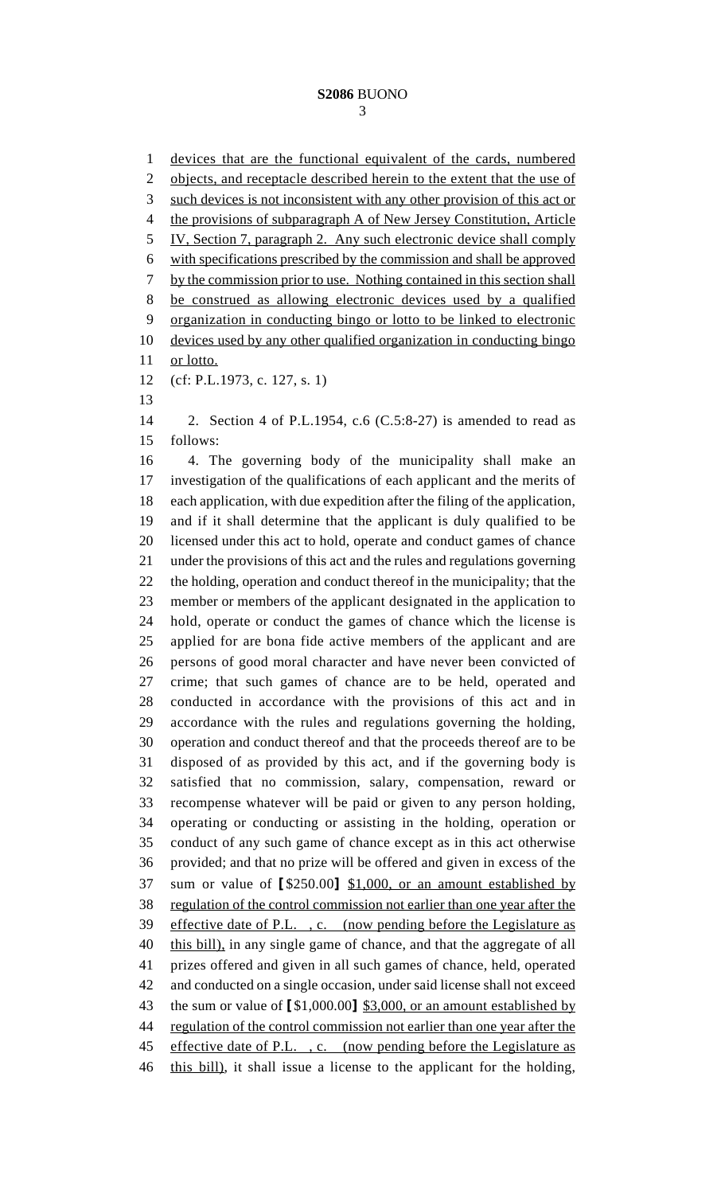devices that are the functional equivalent of the cards, numbered 2 objects, and receptacle described herein to the extent that the use of such devices is not inconsistent with any other provision of this act or the provisions of subparagraph A of New Jersey Constitution, Article IV, Section 7, paragraph 2. Any such electronic device shall comply with specifications prescribed by the commission and shall be approved by the commission prior to use. Nothing contained in this section shall be construed as allowing electronic devices used by a qualified organization in conducting bingo or lotto to be linked to electronic devices used by any other qualified organization in conducting bingo 11 or lotto. (cf: P.L.1973, c. 127, s. 1) 2. Section 4 of P.L.1954, c.6 (C.5:8-27) is amended to read as follows: 4. The governing body of the municipality shall make an investigation of the qualifications of each applicant and the merits of each application, with due expedition after the filing of the application, and if it shall determine that the applicant is duly qualified to be licensed under this act to hold, operate and conduct games of chance under the provisions of this act and the rules and regulations governing the holding, operation and conduct thereof in the municipality; that the member or members of the applicant designated in the application to hold, operate or conduct the games of chance which the license is applied for are bona fide active members of the applicant and are persons of good moral character and have never been convicted of crime; that such games of chance are to be held, operated and conducted in accordance with the provisions of this act and in accordance with the rules and regulations governing the holding, operation and conduct thereof and that the proceeds thereof are to be disposed of as provided by this act, and if the governing body is satisfied that no commission, salary, compensation, reward or recompense whatever will be paid or given to any person holding, operating or conducting or assisting in the holding, operation or conduct of any such game of chance except as in this act otherwise provided; and that no prize will be offered and given in excess of the sum or value of **[**\$250.00**]** \$1,000, or an amount established by regulation of the control commission not earlier than one year after the effective date of P.L. , c. (now pending before the Legislature as 40 this bill), in any single game of chance, and that the aggregate of all prizes offered and given in all such games of chance, held, operated and conducted on a single occasion, under said license shall not exceed the sum or value of **[**\$1,000.00**]** \$3,000, or an amount established by regulation of the control commission not earlier than one year after the 45 effective date of P.L., c. (now pending before the Legislature as 46 this bill), it shall issue a license to the applicant for the holding,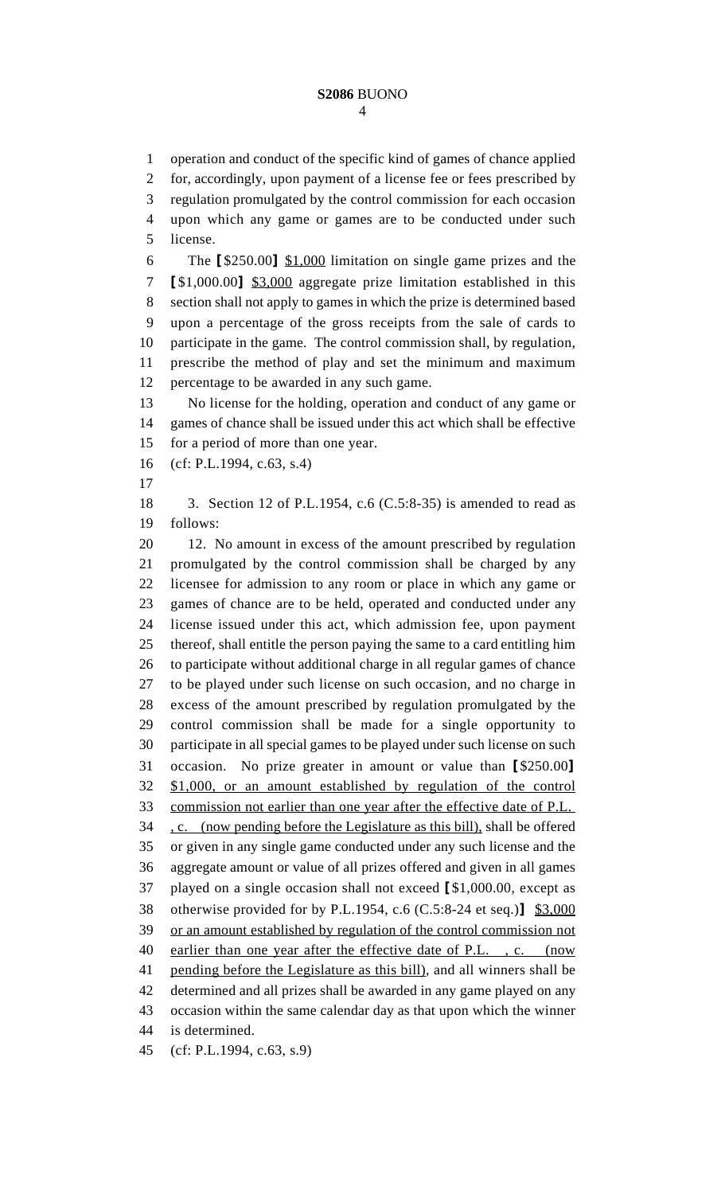operation and conduct of the specific kind of games of chance applied for, accordingly, upon payment of a license fee or fees prescribed by regulation promulgated by the control commission for each occasion upon which any game or games are to be conducted under such license. The **[**\$250.00**]** \$1,000 limitation on single game prizes and the **[**\$1,000.00**]** \$3,000 aggregate prize limitation established in this section shall not apply to games in which the prize is determined based upon a percentage of the gross receipts from the sale of cards to participate in the game. The control commission shall, by regulation, prescribe the method of play and set the minimum and maximum percentage to be awarded in any such game. No license for the holding, operation and conduct of any game or games of chance shall be issued under this act which shall be effective for a period of more than one year. (cf: P.L.1994, c.63, s.4) 3. Section 12 of P.L.1954, c.6 (C.5:8-35) is amended to read as follows: 12. No amount in excess of the amount prescribed by regulation promulgated by the control commission shall be charged by any licensee for admission to any room or place in which any game or games of chance are to be held, operated and conducted under any license issued under this act, which admission fee, upon payment thereof, shall entitle the person paying the same to a card entitling him to participate without additional charge in all regular games of chance to be played under such license on such occasion, and no charge in excess of the amount prescribed by regulation promulgated by the control commission shall be made for a single opportunity to participate in all special games to be played under such license on such occasion. No prize greater in amount or value than **[**\$250.00**]** \$1,000, or an amount established by regulation of the control commission not earlier than one year after the effective date of P.L. 34 . c. (now pending before the Legislature as this bill), shall be offered or given in any single game conducted under any such license and the aggregate amount or value of all prizes offered and given in all games played on a single occasion shall not exceed **[**\$1,000.00, except as otherwise provided for by P.L.1954, c.6 (C.5:8-24 et seq.)**]** \$3,000 or an amount established by regulation of the control commission not 40 earlier than one year after the effective date of P.L., c. (now pending before the Legislature as this bill), and all winners shall be determined and all prizes shall be awarded in any game played on any occasion within the same calendar day as that upon which the winner is determined. (cf: P.L.1994, c.63, s.9)